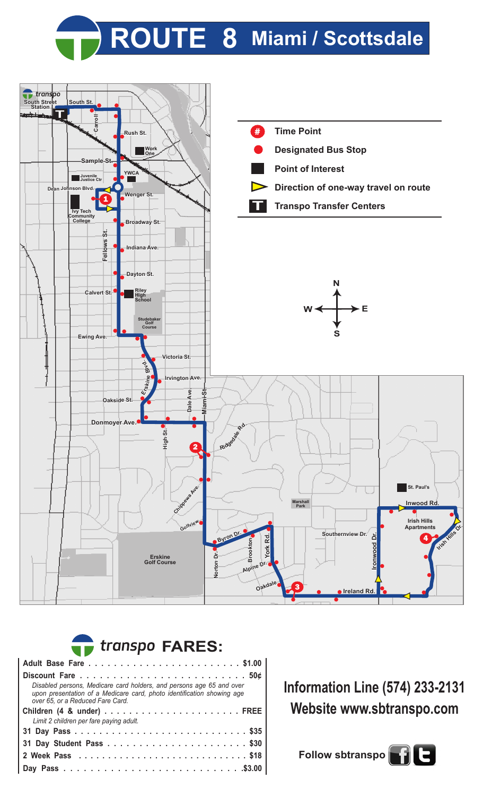



## **Adult Base Fare . . . . . . . . . . . . . . . . . . . . . . . . \$1.00 FARES:**

| Disabled persons, Medicare card holders, and persons age 65 and over<br>upon presentation of a Medicare card, photo identification showing age<br>over 65, or a Reduced Fare Card. |  |  |  |  |  |  |  |
|------------------------------------------------------------------------------------------------------------------------------------------------------------------------------------|--|--|--|--|--|--|--|
|                                                                                                                                                                                    |  |  |  |  |  |  |  |
| Limit 2 children per fare paying adult.                                                                                                                                            |  |  |  |  |  |  |  |
|                                                                                                                                                                                    |  |  |  |  |  |  |  |
|                                                                                                                                                                                    |  |  |  |  |  |  |  |
|                                                                                                                                                                                    |  |  |  |  |  |  |  |
|                                                                                                                                                                                    |  |  |  |  |  |  |  |
|                                                                                                                                                                                    |  |  |  |  |  |  |  |
|                                                                                                                                                                                    |  |  |  |  |  |  |  |
|                                                                                                                                                                                    |  |  |  |  |  |  |  |

**Information Line (574) 233-2131 Website www.sbtranspo.com**

Follow sbtranspo $\begin{bmatrix} 1 \end{bmatrix}$